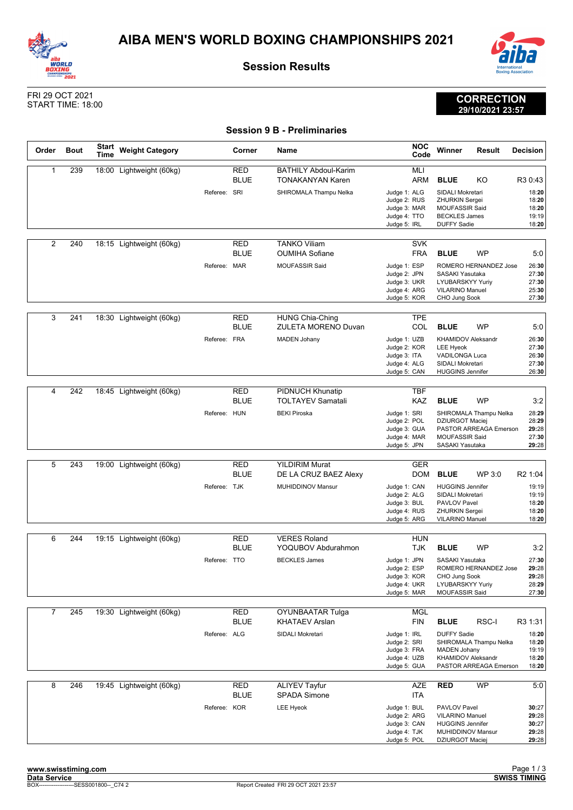

worl n **WORLD<br>BOXING<br>CHAMPIONSHIPS**<br>AMANGUNING 2021

## **Session Results**



## **CORRECTION 29/10/2021 23:57**

FRI 29 OCT 2021 START TIME: 18:00

| <b>Session 9 B - Preliminaries</b> |             |                             |                          |              |                    |                                                |                              |                          |                                                   |                        |                     |
|------------------------------------|-------------|-----------------------------|--------------------------|--------------|--------------------|------------------------------------------------|------------------------------|--------------------------|---------------------------------------------------|------------------------|---------------------|
| Order                              | <b>Bout</b> | <b>Start</b><br><b>Time</b> | <b>Weight Category</b>   |              | Corner             | Name                                           |                              | <b>NOC</b><br>Code       | Winner                                            | <b>Result</b>          | <b>Decision</b>     |
| 1                                  | 239         |                             | 18:00 Lightweight (60kg) |              | <b>RED</b>         | <b>BATHILY Abdoul-Karim</b>                    |                              | <b>MLI</b>               |                                                   |                        |                     |
|                                    |             |                             |                          |              | <b>BLUE</b>        | <b>TONAKANYAN Karen</b>                        |                              | ARM                      | <b>BLUE</b>                                       | KO                     | R3 0:43             |
|                                    |             |                             |                          | Referee: SRI |                    | SHIROMALA Thampu Nelka                         | Judge 1: ALG                 |                          | SIDALI Mokretari                                  |                        | 18:20               |
|                                    |             |                             |                          |              |                    |                                                | Judge 2: RUS<br>Judge 3: MAR |                          | <b>ZHURKIN Sergei</b><br><b>MOUFASSIR Said</b>    |                        | 18:20<br>18:20      |
|                                    |             |                             |                          |              |                    |                                                | Judge 4: TTO                 |                          | <b>BECKLES James</b>                              |                        | 19:19               |
|                                    |             |                             |                          |              |                    |                                                | Judge 5: IRL                 |                          | <b>DUFFY Sadie</b>                                |                        | 18:20               |
| $\overline{2}$                     | 240         |                             | 18:15 Lightweight (60kg) |              | <b>RED</b>         | <b>TANKO Viliam</b>                            |                              | <b>SVK</b>               |                                                   |                        |                     |
|                                    |             |                             |                          |              | <b>BLUE</b>        | <b>OUMIHA Sofiane</b>                          |                              | <b>FRA</b>               | <b>BLUE</b>                                       | WP                     | 5:0                 |
|                                    |             |                             |                          | Referee: MAR |                    | <b>MOUFASSIR Said</b>                          | Judge 1: ESP                 |                          |                                                   | ROMERO HERNANDEZ Jose  | 26:30               |
|                                    |             |                             |                          |              |                    |                                                | Judge 2: JPN                 |                          | SASAKI Yasutaka                                   |                        | 27:30<br>27:30      |
|                                    |             |                             |                          |              |                    |                                                | Judge 3: UKR<br>Judge 4: ARG |                          | LYUBARSKYY Yuriy<br>VILARINO Manuel               |                        | 25:30               |
|                                    |             |                             |                          |              |                    |                                                | Judge 5: KOR                 |                          | CHO Jung Sook                                     |                        | 27:30               |
| 3                                  | 241         |                             | 18:30 Lightweight (60kg) |              | <b>RED</b>         | <b>HUNG Chia-Ching</b>                         |                              | <b>TPE</b>               |                                                   |                        |                     |
|                                    |             |                             |                          |              | <b>BLUE</b>        | <b>ZULETA MORENO Duvan</b>                     |                              | COL                      | <b>BLUE</b>                                       | <b>WP</b>              | 5:0                 |
|                                    |             |                             |                          | Referee: FRA |                    | <b>MADEN Johany</b>                            | Judge 1: UZB                 |                          | KHAMIDOV Aleksandr                                |                        | 26:30               |
|                                    |             |                             |                          |              |                    |                                                | Judge 2: KOR                 |                          | <b>LEE Hyeok</b>                                  |                        | 27:30               |
|                                    |             |                             |                          |              |                    |                                                | Judge 3: ITA<br>Judge 4: ALG |                          | <b>VADILONGA Luca</b><br>SIDALI Mokretari         |                        | 26:30<br>27:30      |
|                                    |             |                             |                          |              |                    |                                                | Judge 5: CAN                 |                          | <b>HUGGINS Jennifer</b>                           |                        | 26:30               |
| 4                                  | 242         |                             |                          |              | RED                | PIDNUCH Khunatip                               |                              | <b>TBF</b>               |                                                   |                        |                     |
|                                    |             |                             | 18:45 Lightweight (60kg) |              | <b>BLUE</b>        | <b>TOLTAYEV Samatali</b>                       |                              | KAZ                      | <b>BLUE</b>                                       | <b>WP</b>              | 3:2                 |
|                                    |             |                             |                          | Referee: HUN |                    | <b>BEKI Piroska</b>                            | Judge 1: SRI                 |                          |                                                   | SHIROMALA Thampu Nelka | 28:29               |
|                                    |             |                             |                          |              |                    |                                                | Judge 2: POL                 |                          | <b>DZIURGOT Maciej</b>                            |                        | 28:29               |
|                                    |             |                             |                          |              |                    |                                                | Judge 3: GUA                 |                          | <b>MOUFASSIR Said</b>                             | PASTOR ARREAGA Emerson | 29:28<br>27:30      |
|                                    |             |                             |                          |              |                    |                                                | Judge 4: MAR<br>Judge 5: JPN |                          | SASAKI Yasutaka                                   |                        | 29:28               |
|                                    |             |                             |                          |              |                    |                                                |                              |                          |                                                   |                        |                     |
| 5                                  | 243         |                             | 19:00 Lightweight (60kg) |              | RED<br><b>BLUE</b> | <b>YILDIRIM Murat</b><br>DE LA CRUZ BAEZ Alexy |                              | <b>GER</b><br><b>DOM</b> | <b>BLUE</b>                                       | WP 3:0                 | R <sub>2</sub> 1:04 |
|                                    |             |                             |                          | Referee: TJK |                    | <b>MUHIDDINOV Mansur</b>                       | Judge 1: CAN                 |                          | <b>HUGGINS Jennifer</b>                           |                        | 19:19               |
|                                    |             |                             |                          |              |                    |                                                | Judge 2: ALG                 |                          | SIDALI Mokretari                                  |                        | 19:19               |
|                                    |             |                             |                          |              |                    |                                                | Judge 3: BUL                 |                          | PAVLOV Pavel                                      |                        | 18:20               |
|                                    |             |                             |                          |              |                    |                                                | Judge 4: RUS<br>Judge 5: ARG |                          | <b>ZHURKIN Sergei</b><br><b>VILARINO Manuel</b>   |                        | 18:20<br>18:20      |
|                                    |             |                             |                          |              |                    |                                                |                              |                          |                                                   |                        |                     |
| 6                                  | 244         |                             | 19:15 Lightweight (60kg) |              | RED                | <b>VERES Roland</b>                            |                              | <b>HUN</b>               |                                                   |                        |                     |
|                                    |             |                             |                          |              | <b>BLUE</b>        | YOQUBOV Abdurahmon                             |                              | <b>TJK</b>               | <b>BLUE</b>                                       | <b>WP</b>              | 3:2                 |
|                                    |             |                             |                          | Referee: TTO |                    | <b>BECKLES James</b>                           | Judge 1: JPN<br>Judge 2: ESP |                          | SASAKI Yasutaka                                   | ROMERO HERNANDEZ Jose  | 27:30<br>29:28      |
|                                    |             |                             |                          |              |                    |                                                | Judge 3: KOR                 |                          | CHO Jung Sook                                     |                        | 29:28               |
|                                    |             |                             |                          |              |                    |                                                | Judge 4: UKR<br>Judge 5: MAR |                          | LYUBARSKYY Yuriy<br><b>MOUFASSIR Said</b>         |                        | 28:29<br>27:30      |
|                                    |             |                             |                          |              |                    |                                                |                              |                          |                                                   |                        |                     |
| $\overline{7}$                     | 245         | 19:30                       | Lightweight (60kg)       |              | <b>RED</b>         | <b>OYUNBAATAR Tulga</b>                        |                              | <b>MGL</b>               |                                                   |                        |                     |
|                                    |             |                             |                          |              | <b>BLUE</b>        | KHATAEV Arslan                                 |                              | <b>FIN</b>               | <b>BLUE</b>                                       | RSC-I                  | R3 1:31             |
|                                    |             |                             |                          | Referee: ALG |                    | SIDALI Mokretari                               | Judge 1: IRL<br>Judge 2: SRI |                          | <b>DUFFY Sadie</b>                                | SHIROMALA Thampu Nelka | 18:20<br>18:20      |
|                                    |             |                             |                          |              |                    |                                                | Judge 3: FRA                 |                          | <b>MADEN Johany</b>                               |                        | 19:19               |
|                                    |             |                             |                          |              |                    |                                                | Judge 4: UZB                 |                          | <b>KHAMIDOV Aleksandr</b>                         |                        | 18:20               |
|                                    |             |                             |                          |              |                    |                                                | Judge 5: GUA                 |                          |                                                   | PASTOR ARREAGA Emerson | 18:20               |
| 8                                  | 246         |                             | 19:45 Lightweight (60kg) |              | <b>RED</b>         | <b>ALIYEV Tayfur</b>                           |                              | AZE                      | <b>RED</b>                                        | WP                     | 5:0                 |
|                                    |             |                             |                          |              | <b>BLUE</b>        | <b>SPADA Simone</b>                            |                              | <b>ITA</b>               |                                                   |                        |                     |
|                                    |             |                             |                          | Referee: KOR |                    | <b>LEE Hyeok</b>                               | Judge 1: BUL                 |                          | PAVLOV Pavel                                      |                        | 30:27               |
|                                    |             |                             |                          |              |                    |                                                | Judge 2: ARG<br>Judge 3: CAN |                          | <b>VILARINO Manuel</b><br><b>HUGGINS Jennifer</b> |                        | 29:28<br>30:27      |
|                                    |             |                             |                          |              |                    |                                                | Judge 4: TJK                 |                          | MUHIDDINOV Mansur                                 |                        | 29:28               |
|                                    |             |                             |                          |              |                    |                                                | Judge 5: POL                 |                          | DZIURGOT Maciej                                   |                        | 29:28               |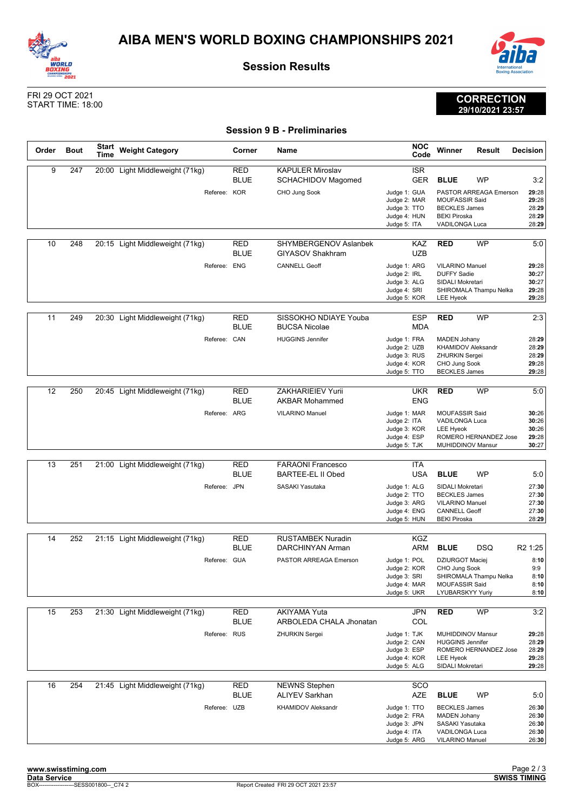



**Session Results**



**CORRECTION 29/10/2021 23:57**

FRI 29 OCT 2021 START TIME: 18:00

| <b>Session 9 B - Preliminaries</b> |      |  |  |  |  |  |  |
|------------------------------------|------|--|--|--|--|--|--|
| Corner                             | Name |  |  |  |  |  |  |

| Order | <b>Bout</b> | <b>Start</b><br>Time | <b>Weight Category</b>          | Corner                    | Name                                                 | <b>NOC</b><br>Code                                                                  | Winner                                                                                                             | <b>Result</b>          | <b>Decision</b>                                  |
|-------|-------------|----------------------|---------------------------------|---------------------------|------------------------------------------------------|-------------------------------------------------------------------------------------|--------------------------------------------------------------------------------------------------------------------|------------------------|--------------------------------------------------|
| 9     | 247         |                      | 20:00 Light Middleweight (71kg) | RED<br><b>BLUE</b>        | <b>KAPULER Miroslav</b><br><b>SCHACHIDOV Magomed</b> | <b>ISR</b><br><b>GER</b>                                                            | <b>BLUE</b>                                                                                                        | <b>WP</b>              | 3:2                                              |
|       |             |                      | Referee: KOR                    |                           | CHO Jung Sook                                        | Judge 1: GUA<br>Judge 2: MAR<br>Judge 3: TTO<br>Judge 4: HUN<br>Judge 5: ITA        | <b>MOUFASSIR Said</b><br><b>BECKLES James</b><br><b>BEKI Piroska</b><br><b>VADILONGA Luca</b>                      | PASTOR ARREAGA Emerson | 29:28<br>29:28<br>28:29<br>28:29<br>28:29        |
| 10    | 248         |                      | 20:15 Light Middleweight (71kg) | <b>RED</b><br><b>BLUE</b> | SHYMBERGENOV Aslanbek<br><b>GIYASOV Shakhram</b>     | KAZ<br><b>UZB</b>                                                                   | <b>RED</b>                                                                                                         | <b>WP</b>              | 5:0                                              |
|       |             |                      | Referee: ENG                    |                           | <b>CANNELL Geoff</b>                                 | Judge 1: ARG<br>Judge 2: IRL<br>Judge 3: ALG<br>Judge 4: SRI<br>Judge 5: KOR        | <b>VILARINO Manuel</b><br><b>DUFFY Sadie</b><br>SIDALI Mokretari<br><b>LEE Hyeok</b>                               | SHIROMALA Thampu Nelka | 29:28<br>30:27<br>30:27<br>29:28<br>29:28        |
| 11    | 249         |                      | 20:30 Light Middleweight (71kg) | RED<br><b>BLUE</b>        | SISSOKHO NDIAYE Youba<br><b>BUCSA Nicolae</b>        | <b>ESP</b><br><b>MDA</b>                                                            | <b>RED</b>                                                                                                         | <b>WP</b>              | 2:3                                              |
|       |             |                      | Referee: CAN                    |                           | <b>HUGGINS Jennifer</b>                              | Judge 1: FRA<br>Judge 2: UZB<br>Judge 3: RUS<br>Judge 4: KOR<br>Judge 5: TTO        | <b>MADEN Johany</b><br>KHAMIDOV Aleksandr<br><b>ZHURKIN Sergei</b><br>CHO Jung Sook<br><b>BECKLES James</b>        |                        | 28:29<br>28:29<br>28:29<br>29:28<br>29:28        |
| 12    | 250         |                      | 20:45 Light Middleweight (71kg) | <b>RED</b><br><b>BLUE</b> | <b>ZAKHARIEIEV Yurii</b><br><b>AKBAR Mohammed</b>    | <b>UKR</b><br><b>ENG</b>                                                            | <b>RED</b>                                                                                                         | <b>WP</b>              | 5:0                                              |
|       |             |                      | Referee: ARG                    |                           | <b>VILARINO Manuel</b>                               | Judge 1: MAR<br>Judge 2: ITA<br>Judge 3: KOR<br>Judge 4: ESP<br>Judge 5: TJK        | <b>MOUFASSIR Said</b><br>VADILONGA Luca<br><b>LEE Hyeok</b><br>MUHIDDINOV Mansur                                   | ROMERO HERNANDEZ Jose  | 30:26<br>30:26<br>30:26<br>29:28<br>30:27        |
| 13    | 251         | 21:00                | Light Middleweight (71kg)       | <b>RED</b><br><b>BLUE</b> | <b>FARAONI Francesco</b><br><b>BARTEE-EL II Obed</b> | <b>ITA</b><br>USA                                                                   | <b>BLUE</b>                                                                                                        | <b>WP</b>              | 5:0                                              |
|       |             |                      | Referee: JPN                    |                           | SASAKI Yasutaka                                      | Judge 1: ALG<br>Judge 2: TTO<br>Judge 3: ARG<br>Judge 4: ENG<br>Judge 5: HUN        | SIDALI Mokretari<br><b>BECKLES James</b><br><b>VILARINO Manuel</b><br><b>CANNELL Geoff</b><br><b>BEKI Piroska</b>  |                        | 27:30<br>27:30<br>27:30<br>27:30<br>28:29        |
| 14    | 252         |                      | 21:15 Light Middleweight (71kg) | <b>RED</b>                | <b>RUSTAMBEK Nuradin</b>                             | KGZ                                                                                 |                                                                                                                    |                        |                                                  |
|       |             |                      |                                 | <b>BLUE</b>               | <b>DARCHINYAN Arman</b>                              | ARM                                                                                 | <b>BLUE</b>                                                                                                        | DSQ                    | R <sub>2</sub> 1:25                              |
|       |             |                      | Referee: GUA                    |                           | PASTOR ARREAGA Emerson                               | Judge 1: POL<br>Judge 2: KOR<br>Judge 3: SRI<br>Judge 4: MAR<br>Judge 5: UKR        | <b>DZIURGOT Maciej</b><br>CHO Jung Sook<br>MOUFASSIR Said<br>LYUBARSKYY Yuriy                                      | SHIROMALA Thampu Nelka | 8:10<br>9:9<br>8:10<br>8:10<br>8:10              |
| 15    | 253         |                      | 21:30 Light Middleweight (71kg) | <b>RED</b>                | <b>AKIYAMA Yuta</b>                                  | <b>JPN</b>                                                                          | <b>RED</b>                                                                                                         | WP                     | 3:2                                              |
|       |             |                      |                                 | <b>BLUE</b>               | ARBOLEDA CHALA Jhonatan                              | COL                                                                                 |                                                                                                                    |                        |                                                  |
|       |             |                      | Referee: RUS                    |                           | <b>ZHURKIN Sergei</b>                                | Judge 1: TJK<br>Judge 2: CAN<br>Judge 3: ESP<br>Judge 4: KOR<br>Judge 5: ALG        | <b>MUHIDDINOV Mansur</b><br><b>HUGGINS Jennifer</b><br><b>LEE Hyeok</b><br>SIDALI Mokretari                        | ROMERO HERNANDEZ Jose  | 29:28<br>28:29<br>28:29<br>29:28<br>29:28        |
| 16    | 254         |                      | 21:45 Light Middleweight (71kg) | <b>RED</b>                | <b>NEWNS Stephen</b>                                 | sco                                                                                 |                                                                                                                    |                        |                                                  |
|       |             |                      | Referee: UZB                    | <b>BLUE</b>               | <b>ALIYEV Sarkhan</b><br><b>KHAMIDOV Aleksandr</b>   | AZE<br>Judge 1: TTO<br>Judge 2: FRA<br>Judge 3: JPN<br>Judge 4: ITA<br>Judge 5: ARG | <b>BLUE</b><br><b>BECKLES James</b><br><b>MADEN Johany</b><br>SASAKI Yasutaka<br>VADILONGA Luca<br>VILARINO Manuel | WP                     | 5:0<br>26:30<br>26:30<br>26:30<br>26:30<br>26:30 |